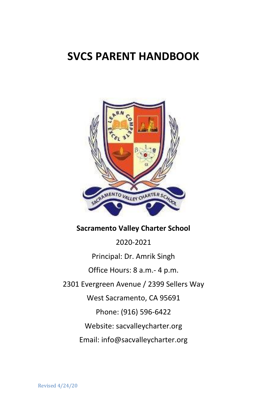# **SVCS PARENT HANDBOOK**



#### **Sacramento Valley Charter School**

2020-2021 Principal: Dr. Amrik Singh Office Hours: 8 a.m.- 4 p.m. 2301 Evergreen Avenue / 2399 Sellers Way West Sacramento, CA 95691 Phone: (916) 596-6422 Website: sacvalleycharter.org Email: info@sacvalleycharter.org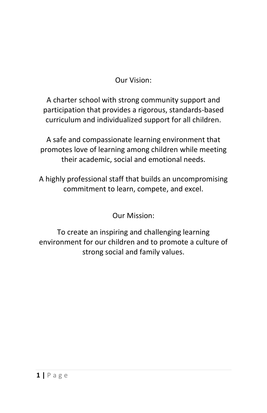Our Vision:

A charter school with strong community support and participation that provides a rigorous, standards-based curriculum and individualized support for all children.

A safe and compassionate learning environment that promotes love of learning among children while meeting their academic, social and emotional needs.

A highly professional staff that builds an uncompromising commitment to learn, compete, and excel.

Our Mission:

To create an inspiring and challenging learning environment for our children and to promote a culture of strong social and family values.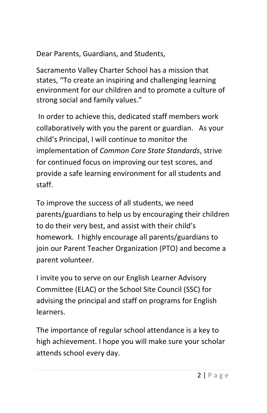Dear Parents, Guardians, and Students,

Sacramento Valley Charter School has a mission that states, "To create an inspiring and challenging learning environment for our children and to promote a culture of strong social and family values."

In order to achieve this, dedicated staff members work collaboratively with you the parent or guardian. As your child's Principal, I will continue to monitor the implementation of *Common Core State Standards*, strive for continued focus on improving our test scores, and provide a safe learning environment for all students and staff.

To improve the success of all students, we need parents/guardians to help us by encouraging their children to do their very best, and assist with their child's homework. I highly encourage all parents/guardians to join our Parent Teacher Organization (PTO) and become a parent volunteer.

I invite you to serve on our English Learner Advisory Committee (ELAC) or the School Site Council (SSC) for advising the principal and staff on programs for English learners.

The importance of regular school attendance is a key to high achievement. I hope you will make sure your scholar attends school every day.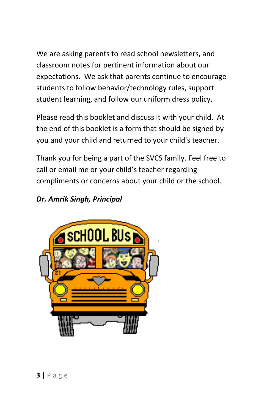We are asking parents to read school newsletters, and classroom notes for pertinent information about our expectations. We ask that parents continue to encourage students to follow behavior/technology rules, support student learning, and follow our uniform dress policy.

Please read this booklet and discuss it with your child. At the end of this booklet is a form that should be signed by you and your child and returned to your child's teacher.

Thank you for being a part of the SVCS family. Feel free to call or email me or your child's teacher regarding compliments or concerns about your child or the school.

### *Dr. Amrik Singh, Principal*

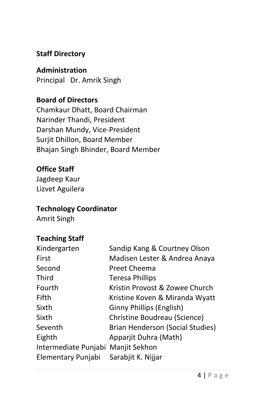### **Staff Directory**

**Administration**  Principal Dr. Amrik Singh

**Board of Directors** Chamkaur Dhatt, Board Chairman Narinder Thandi, President Darshan Mundy, Vice-President Surjit Dhillon, Board Member Bhajan Singh Bhinder, Board Member

### **Office Staff**

Jagdeep Kaur Lizvet Aguilera

#### **Technology Coordinator**

Amrit Singh

### **Teaching Staff**

| Kindergarten                       | Sandip Kang & Courtney Olson     |
|------------------------------------|----------------------------------|
| First                              | Madisen Lester & Andrea Anaya    |
| Second                             | Preet Cheema                     |
| Third                              | <b>Teresa Phillips</b>           |
| Fourth                             | Kristin Provost & Zowee Church   |
| Fifth                              | Kristine Koven & Miranda Wyatt   |
| Sixth                              | Ginny Phillips (English)         |
| Sixth                              | Christine Boudreau (Science)     |
| Seventh                            | Brian Henderson (Social Studies) |
| Eighth                             | Apparjit Duhra (Math)            |
| Intermediate Punjabi Manjit Sekhon |                                  |
| Elementary Punjabi                 | Sarabjit K. Nijjar               |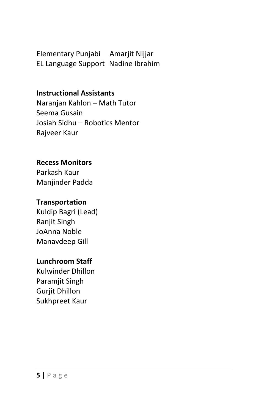Elementary Punjabi Amarjit Nijjar EL Language Support Nadine Ibrahim

#### **Instructional Assistants**

Naranjan Kahlon – Math Tutor Seema Gusain Josiah Sidhu – Robotics Mentor Rajveer Kaur

#### **Recess Monitors**

Parkash Kaur Manjinder Padda

#### **Transportation**

Kuldip Bagri (Lead) Ranjit Singh JoAnna Noble Manavdeep Gill

#### **Lunchroom Staff**

Kulwinder Dhillon Paramjit Singh Gurjit Dhillon Sukhpreet Kaur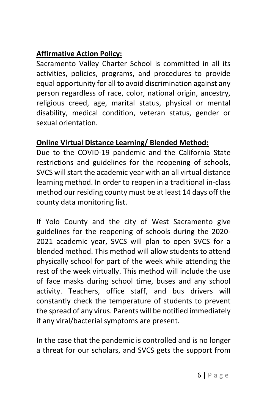## **Affirmative Action Policy:**

Sacramento Valley Charter School is committed in all its activities, policies, programs, and procedures to provide equal opportunity for all to avoid discrimination against any person regardless of race, color, national origin, ancestry, religious creed, age, marital status, physical or mental disability, medical condition, veteran status, gender or sexual orientation.

### **Online Virtual Distance Learning/ Blended Method:**

Due to the COVID-19 pandemic and the California State restrictions and guidelines for the reopening of schools, SVCS will start the academic year with an all virtual distance learning method. In order to reopen in a traditional in-class method our residing county must be at least 14 days off the county data monitoring list.

If Yolo County and the city of West Sacramento give guidelines for the reopening of schools during the 2020- 2021 academic year, SVCS will plan to open SVCS for a blended method. This method will allow students to attend physically school for part of the week while attending the rest of the week virtually. This method will include the use of face masks during school time, buses and any school activity. Teachers, office staff, and bus drivers will constantly check the temperature of students to prevent the spread of any virus. Parents will be notified immediately if any viral/bacterial symptoms are present.

In the case that the pandemic is controlled and is no longer a threat for our scholars, and SVCS gets the support from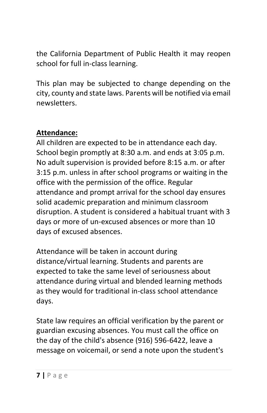the California Department of Public Health it may reopen school for full in-class learning.

This plan may be subjected to change depending on the city, county and state laws. Parents will be notified via email newsletters.

### **Attendance:**

All children are expected to be in attendance each day. School begin promptly at 8:30 a.m. and ends at 3:05 p.m. No adult supervision is provided before 8:15 a.m. or after 3:15 p.m. unless in after school programs or waiting in the office with the permission of the office. Regular attendance and prompt arrival for the school day ensures solid academic preparation and minimum classroom disruption. A student is considered a habitual truant with 3 days or more of un-excused absences or more than 10 days of excused absences.

Attendance will be taken in account during distance/virtual learning. Students and parents are expected to take the same level of seriousness about attendance during virtual and blended learning methods as they would for traditional in-class school attendance days.

State law requires an official verification by the parent or guardian excusing absences. You must call the office on the day of the child's absence (916) 596-6422, leave a message on voicemail, or send a note upon the student's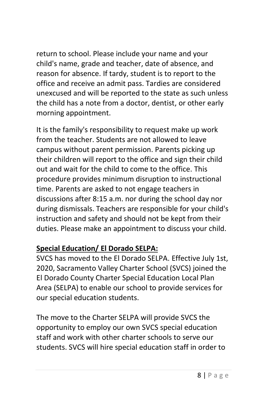return to school. Please include your name and your child's name, grade and teacher, date of absence, and reason for absence. If tardy, student is to report to the office and receive an admit pass. Tardies are considered unexcused and will be reported to the state as such unless the child has a note from a doctor, dentist, or other early morning appointment.

It is the family's responsibility to request make up work from the teacher. Students are not allowed to leave campus without parent permission. Parents picking up their children will report to the office and sign their child out and wait for the child to come to the office. This procedure provides minimum disruption to instructional time. Parents are asked to not engage teachers in discussions after 8:15 a.m. nor during the school day nor during dismissals. Teachers are responsible for your child's instruction and safety and should not be kept from their duties. Please make an appointment to discuss your child.

### **Special Education/ El Dorado SELPA:**

SVCS has moved to the El Dorado SELPA. Effective July 1st, 2020, Sacramento Valley Charter School (SVCS) joined the El Dorado County Charter Special Education Local Plan Area (SELPA) to enable our school to provide services for our special education students.

The move to the Charter SELPA will provide SVCS the opportunity to employ our own SVCS special education staff and work with other charter schools to serve our students. SVCS will hire special education staff in order to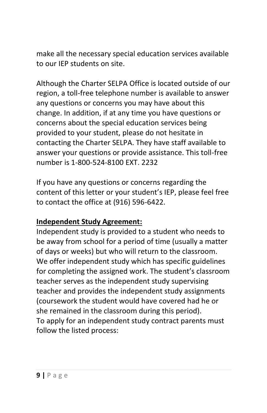make all the necessary special education services available to our IEP students on site.

Although the Charter SELPA Office is located outside of our region, a toll-free telephone number is available to answer any questions or concerns you may have about this change. In addition, if at any time you have questions or concerns about the special education services being provided to your student, please do not hesitate in contacting the Charter SELPA. They have staff available to answer your questions or provide assistance. This toll-free number is 1-800-524-8100 EXT. 2232

If you have any questions or concerns regarding the content of this letter or your student's IEP, please feel free to contact the office at (916) 596-6422.

### **Independent Study Agreement:**

Independent study is provided to a student who needs to be away from school for a period of time (usually a matter of days or weeks) but who will return to the classroom. We offer independent study which has specific guidelines for completing the assigned work. The student's classroom teacher serves as the independent study supervising teacher and provides the independent study assignments (coursework the student would have covered had he or she remained in the classroom during this period). To apply for an independent study contract parents must follow the listed process: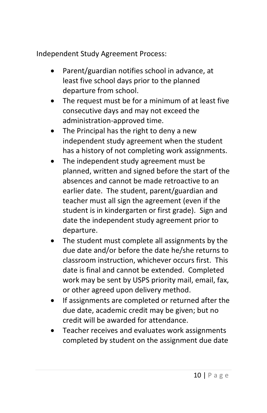Independent Study Agreement Process:

- Parent/guardian notifies school in advance, at least five school days prior to the planned departure from school.
- The request must be for a minimum of at least five consecutive days and may not exceed the administration-approved time.
- The Principal has the right to deny a new independent study agreement when the student has a history of not completing work assignments.
- The independent study agreement must be planned, written and signed before the start of the absences and cannot be made retroactive to an earlier date.The student, parent/guardian and teacher must all sign the agreement (even if the student is in kindergarten or first grade). Sign and date the independent study agreement prior to departure.
- The student must complete all assignments by the due date and/or before the date he/she returns to classroom instruction, whichever occurs first. This date is final and cannot be extended. Completed work may be sent by USPS priority mail, email, fax, or other agreed upon delivery method.
- If assignments are completed or returned after the due date, academic credit may be given; but no credit will be awarded for attendance.
- Teacher receives and evaluates work assignments completed by student on the assignment due date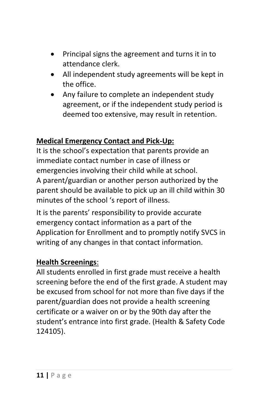- Principal signs the agreement and turns it in to attendance clerk.
- All independent study agreements will be kept in the office.
- Any failure to complete an independent study agreement, or if the independent study period is deemed too extensive, may result in retention.

### **Medical Emergency Contact and Pick-Up:**

It is the school's expectation that parents provide an immediate contact number in case of illness or emergencies involving their child while at school. A parent/guardian or another person authorized by the parent should be available to pick up an ill child within 30 minutes of the school 's report of illness.

It is the parents' responsibility to provide accurate emergency contact information as a part of the Application for Enrollment and to promptly notify SVCS in writing of any changes in that contact information.

#### **Health Screenings**:

All students enrolled in first grade must receive a health screening before the end of the first grade. A student may be excused from school for not more than five days if the parent/guardian does not provide a health screening certificate or a waiver on or by the 90th day after the student's entrance into first grade. (Health & Safety Code 124105).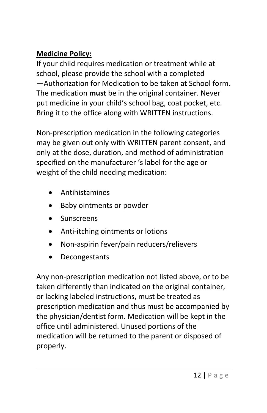### **Medicine Policy:**

If your child requires medication or treatment while at school, please provide the school with a completed ―Authorization for Medication to be taken at School form. The medication **must** be in the original container. Never put medicine in your child's school bag, coat pocket, etc. Bring it to the office along with WRITTEN instructions.

Non-prescription medication in the following categories may be given out only with WRITTEN parent consent, and only at the dose, duration, and method of administration specified on the manufacturer 's label for the age or weight of the child needing medication:

- Antihistamines
- Baby ointments or powder
- **Sunscreens**
- Anti-itching ointments or lotions
- Non-aspirin fever/pain reducers/relievers
- Decongestants

Any non-prescription medication not listed above, or to be taken differently than indicated on the original container, or lacking labeled instructions, must be treated as prescription medication and thus must be accompanied by the physician/dentist form. Medication will be kept in the office until administered. Unused portions of the medication will be returned to the parent or disposed of properly.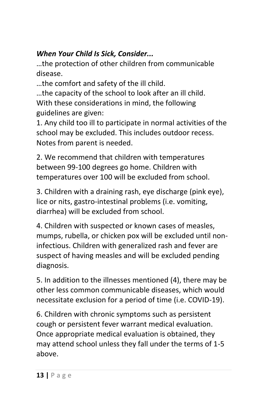### *When Your Child Is Sick, Consider...*

…the protection of other children from communicable disease.

…the comfort and safety of the ill child.

…the capacity of the school to look after an ill child. With these considerations in mind, the following guidelines are given:

1. Any child too ill to participate in normal activities of the school may be excluded. This includes outdoor recess. Notes from parent is needed.

2. We recommend that children with temperatures between 99-100 degrees go home. Children with temperatures over 100 will be excluded from school.

3. Children with a draining rash, eye discharge (pink eye), lice or nits, gastro-intestinal problems (i.e. vomiting, diarrhea) will be excluded from school.

4. Children with suspected or known cases of measles, mumps, rubella, or chicken pox will be excluded until noninfectious. Children with generalized rash and fever are suspect of having measles and will be excluded pending diagnosis.

5. In addition to the illnesses mentioned (4), there may be other less common communicable diseases, which would necessitate exclusion for a period of time (i.e. COVID-19).

6. Children with chronic symptoms such as persistent cough or persistent fever warrant medical evaluation. Once appropriate medical evaluation is obtained, they may attend school unless they fall under the terms of 1-5 above.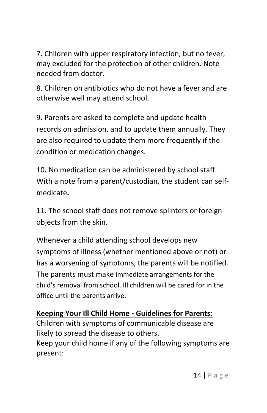7. Children with upper respiratory infection, but no fever, may excluded for the protection of other children. Note needed from doctor.

8. Children on antibiotics who do not have a fever and are otherwise well may attend school.

9. Parents are asked to complete and update health records on admission, and to update them annually. They are also required to update them more frequently if the condition or medication changes.

10**.** No medication can be administered by school staff. With a note from a parent/custodian, the student can selfmedicate**.**

11. The school staff does not remove splinters or foreign objects from the skin.

Whenever a child attending school develops new symptoms of illness (whether mentioned above or not) or has a worsening of symptoms, the parents will be notified. The parents must make immediate arrangements for the child's removal from school. Ill children will be cared for in the office until the parents arrive.

### **Keeping Your Ill Child Home - Guidelines for Parents:**

Children with symptoms of communicable disease are likely to spread the disease to others.

Keep your child home if any of the following symptoms are present: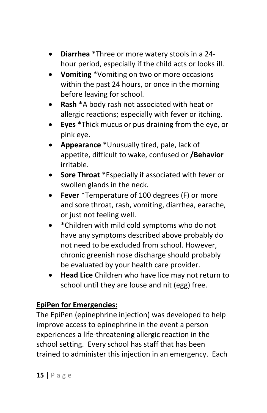- **Diarrhea** \*Three or more watery stools in a 24 hour period, especially if the child acts or looks ill.
- **Vomiting** \*Vomiting on two or more occasions within the past 24 hours, or once in the morning before leaving for school.
- **Rash** \*A body rash not associated with heat or allergic reactions; especially with fever or itching.
- **Eyes** \*Thick mucus or pus draining from the eye, or pink eye.
- **Appearance** \*Unusually tired, pale, lack of appetite, difficult to wake, confused or **/Behavior**  irritable.
- **Sore Throat** \*Especially if associated with fever or swollen glands in the neck.
- **Fever** \*Temperature of 100 degrees (F) or more and sore throat, rash, vomiting, diarrhea, earache, or just not feeling well.
- \*Children with mild cold symptoms who do not have any symptoms described above probably do not need to be excluded from school. However, chronic greenish nose discharge should probably be evaluated by your health care provider.
- **Head Lice** Children who have lice may not return to school until they are louse and nit (egg) free.

### **EpiPen for Emergencies:**

The EpiPen (epinephrine injection) was developed to help improve access to epinephrine in the event a person experiences a life-threatening allergic reaction in the school setting. Every school has staff that has been trained to administer this injection in an emergency. Each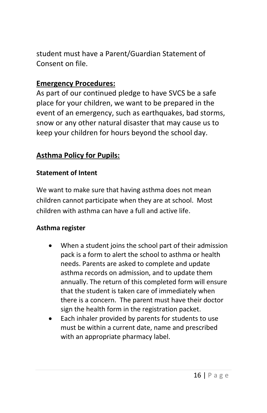student must have a Parent/Guardian Statement of Consent on file.

#### **Emergency Procedures:**

As part of our continued pledge to have SVCS be a safe place for your children, we want to be prepared in the event of an emergency, such as earthquakes, bad storms, snow or any other natural disaster that may cause us to keep your children for hours beyond the school day.

#### **Asthma Policy for Pupils:**

#### **Statement of Intent**

We want to make sure that having asthma does not mean children cannot participate when they are at school. Most children with asthma can have a full and active life.

#### **Asthma register**

- When a student joins the school part of their admission pack is a form to alert the school to asthma or health needs. Parents are asked to complete and update asthma records on admission, and to update them annually. The return of this completed form will ensure that the student is taken care of immediately when there is a concern. The parent must have their doctor sign the health form in the registration packet.
- Each inhaler provided by parents for students to use must be within a current date, name and prescribed with an appropriate pharmacy label.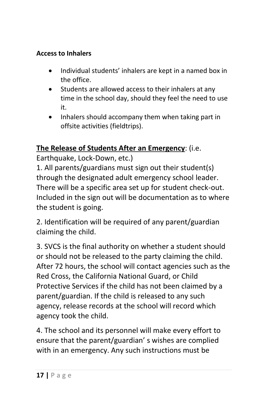#### **Access to Inhalers**

- Individual students' inhalers are kept in a named box in the office.
- Students are allowed access to their inhalers at any time in the school day, should they feel the need to use it.
- Inhalers should accompany them when taking part in offsite activities (fieldtrips).

### **The Release of Students After an Emergency**: (i.e.

Earthquake, Lock-Down, etc.)

1. All parents/guardians must sign out their student(s) through the designated adult emergency school leader. There will be a specific area set up for student check-out. Included in the sign out will be documentation as to where the student is going.

2. Identification will be required of any parent/guardian claiming the child.

3. SVCS is the final authority on whether a student should or should not be released to the party claiming the child. After 72 hours, the school will contact agencies such as the Red Cross, the California National Guard, or Child Protective Services if the child has not been claimed by a parent/guardian. If the child is released to any such agency, release records at the school will record which agency took the child.

4. The school and its personnel will make every effort to ensure that the parent/guardian' s wishes are complied with in an emergency. Any such instructions must be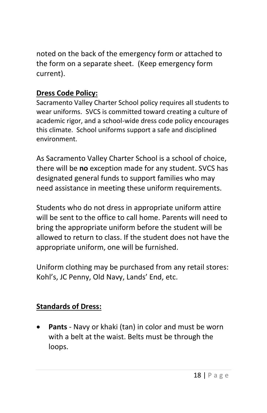noted on the back of the emergency form or attached to the form on a separate sheet. (Keep emergency form current).

### **Dress Code Policy:**

Sacramento Valley Charter School policy requires all students to wear uniforms. SVCS is committed toward creating a culture of academic rigor, and a school-wide dress code policy encourages this climate. School uniforms support a safe and disciplined environment.

As Sacramento Valley Charter School is a school of choice, there will be **no** exception made for any student. SVCS has designated general funds to support families who may need assistance in meeting these uniform requirements.

Students who do not dress in appropriate uniform attire will be sent to the office to call home. Parents will need to bring the appropriate uniform before the student will be allowed to return to class. If the student does not have the appropriate uniform, one will be furnished.

Uniform clothing may be purchased from any retail stores: Kohl's, JC Penny, Old Navy, Lands' End, etc.

### **Standards of Dress:**

• **Pants** - Navy or khaki (tan) in color and must be worn with a belt at the waist. Belts must be through the loops.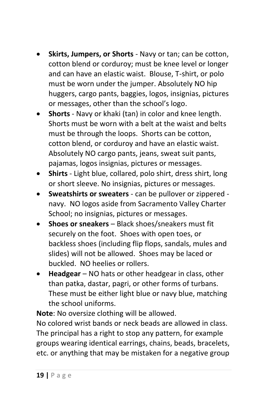- **Skirts, Jumpers, or Shorts** Navy or tan; can be cotton, cotton blend or corduroy; must be knee level or longer and can have an elastic waist. Blouse, T-shirt, or polo must be worn under the jumper. Absolutely NO hip huggers, cargo pants, baggies, logos, insignias, pictures or messages, other than the school's logo.
- **Shorts** Navy or khaki (tan) in color and knee length. Shorts must be worn with a belt at the waist and belts must be through the loops. Shorts can be cotton, cotton blend, or corduroy and have an elastic waist. Absolutely NO cargo pants, jeans, sweat suit pants, pajamas, logos insignias, pictures or messages.
- **Shirts**  Light blue, collared, polo shirt, dress shirt, long or short sleeve. No insignias, pictures or messages.
- **Sweatshirts or sweaters** can be pullover or zippered navy. NO logos aside from Sacramento Valley Charter School; no insignias, pictures or messages.
- **Shoes or sneakers** Black shoes/sneakers must fit securely on the foot. Shoes with open toes, or backless shoes (including flip flops, sandals, mules and slides) will not be allowed. Shoes may be laced or buckled. NO heelies or rollers.
- **Headgear** NO hats or other headgear in class, other than patka, dastar, pagri, or other forms of turbans. These must be either light blue or navy blue, matching the school uniforms.

**Note**: No oversize clothing will be allowed.

No colored wrist bands or neck beads are allowed in class. The principal has a right to stop any pattern, for example groups wearing identical earrings, chains, beads, bracelets, etc. or anything that may be mistaken for a negative group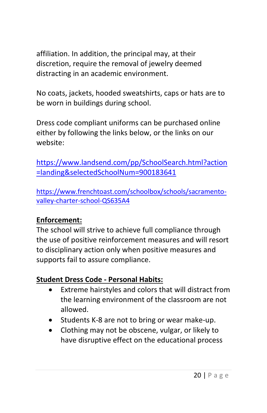affiliation. In addition, the principal may, at their discretion, require the removal of jewelry deemed distracting in an academic environment.

No coats, jackets, hooded sweatshirts, caps or hats are to be worn in buildings during school.

Dress code compliant uniforms can be purchased online either by following the links below, or the links on our website:

[https://www.landsend.com/pp/SchoolSearch.html?action](https://www.landsend.com/pp/SchoolSearch.html?action=landing&selectedSchoolNum=900183641) [=landing&selectedSchoolNum=900183641](https://www.landsend.com/pp/SchoolSearch.html?action=landing&selectedSchoolNum=900183641)

[https://www.frenchtoast.com/schoolbox/schools/sacramento](https://www.frenchtoast.com/schoolbox/schools/sacramento-valley-charter-school-QS635A4)[valley-charter-school-QS635A4](https://www.frenchtoast.com/schoolbox/schools/sacramento-valley-charter-school-QS635A4)

### **Enforcement:**

The school will strive to achieve full compliance through the use of positive reinforcement measures and will resort to disciplinary action only when positive measures and supports fail to assure compliance.

### **Student Dress Code - Personal Habits:**

- Extreme hairstyles and colors that will distract from the learning environment of the classroom are not allowed.
- Students K-8 are not to bring or wear make-up.
- Clothing may not be obscene, vulgar, or likely to have disruptive effect on the educational process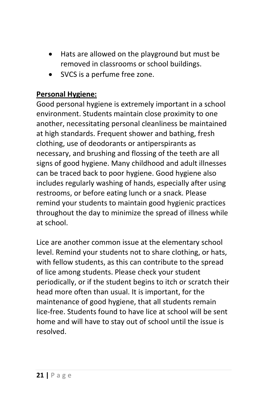- Hats are allowed on the playground but must be removed in classrooms or school buildings.
- SVCS is a perfume free zone.

### **Personal Hygiene:**

Good personal hygiene is extremely important in a school environment. Students maintain close proximity to one another, necessitating personal cleanliness be maintained at high standards. Frequent shower and bathing, fresh clothing, use of deodorants or antiperspirants as necessary, and brushing and flossing of the teeth are all signs of good hygiene. Many childhood and adult illnesses can be traced back to poor hygiene. Good hygiene also includes regularly washing of hands, especially after using restrooms, or before eating lunch or a snack. Please remind your students to maintain good hygienic practices throughout the day to minimize the spread of illness while at school.

Lice are another common issue at the elementary school level. Remind your students not to share clothing, or hats, with fellow students, as this can contribute to the spread of lice among students. Please check your student periodically, or if the student begins to itch or scratch their head more often than usual. It is important, for the maintenance of good hygiene, that all students remain lice-free. Students found to have lice at school will be sent home and will have to stay out of school until the issue is resolved.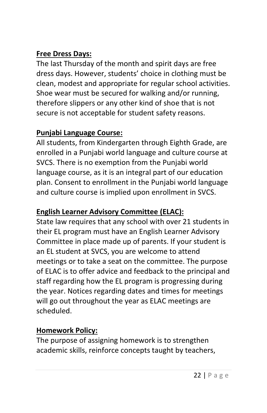### **Free Dress Days:**

The last Thursday of the month and spirit days are free dress days. However, students' choice in clothing must be clean, modest and appropriate for regular school activities. Shoe wear must be secured for walking and/or running, therefore slippers or any other kind of shoe that is not secure is not acceptable for student safety reasons.

### **Punjabi Language Course:**

All students, from Kindergarten through Eighth Grade, are enrolled in a Punjabi world language and culture course at SVCS. There is no exemption from the Punjabi world language course, as it is an integral part of our education plan. Consent to enrollment in the Punjabi world language and culture course is implied upon enrollment in SVCS.

### **English Learner Advisory Committee (ELAC):**

State law requires that any school with over 21 students in their EL program must have an English Learner Advisory Committee in place made up of parents. If your student is an EL student at SVCS, you are welcome to attend meetings or to take a seat on the committee. The purpose of ELAC is to offer advice and feedback to the principal and staff regarding how the EL program is progressing during the year. Notices regarding dates and times for meetings will go out throughout the year as ELAC meetings are scheduled.

### **Homework Policy:**

The purpose of assigning homework is to strengthen academic skills, reinforce concepts taught by teachers,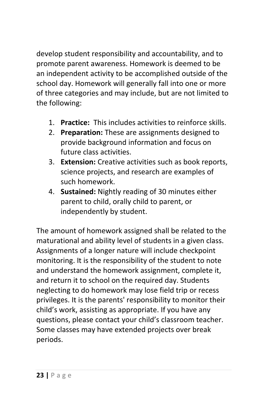develop student responsibility and accountability, and to promote parent awareness. Homework is deemed to be an independent activity to be accomplished outside of the school day. Homework will generally fall into one or more of three categories and may include, but are not limited to the following:

- 1. **Practice:** This includes activities to reinforce skills.
- 2. **Preparation:** These are assignments designed to provide background information and focus on future class activities.
- 3. **Extension:** Creative activities such as book reports, science projects, and research are examples of such homework.
- 4. **Sustained:** Nightly reading of 30 minutes either parent to child, orally child to parent, or independently by student.

The amount of homework assigned shall be related to the maturational and ability level of students in a given class. Assignments of a longer nature will include checkpoint monitoring. It is the responsibility of the student to note and understand the homework assignment, complete it, and return it to school on the required day. Students neglecting to do homework may lose field trip or recess privileges. It is the parents' responsibility to monitor their child's work, assisting as appropriate. If you have any questions, please contact your child's classroom teacher. Some classes may have extended projects over break periods.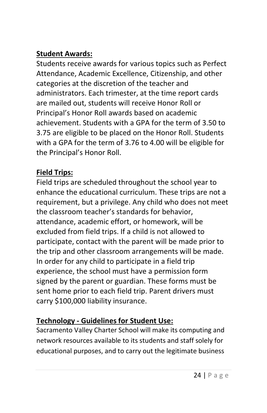### **Student Awards:**

Students receive awards for various topics such as Perfect Attendance, Academic Excellence, Citizenship, and other categories at the discretion of the teacher and administrators. Each trimester, at the time report cards are mailed out, students will receive Honor Roll or Principal's Honor Roll awards based on academic achievement. Students with a GPA for the term of 3.50 to 3.75 are eligible to be placed on the Honor Roll. Students with a GPA for the term of 3.76 to 4.00 will be eligible for the Principal's Honor Roll.

### **Field Trips:**

Field trips are scheduled throughout the school year to enhance the educational curriculum. These trips are not a requirement, but a privilege. Any child who does not meet the classroom teacher's standards for behavior, attendance, academic effort, or homework, will be excluded from field trips. If a child is not allowed to participate, contact with the parent will be made prior to the trip and other classroom arrangements will be made. In order for any child to participate in a field trip experience, the school must have a permission form signed by the parent or guardian. These forms must be sent home prior to each field trip. Parent drivers must carry \$100,000 liability insurance.

# **Technology - Guidelines for Student Use:**

Sacramento Valley Charter School will make its computing and network resources available to its students and staff solely for educational purposes, and to carry out the legitimate business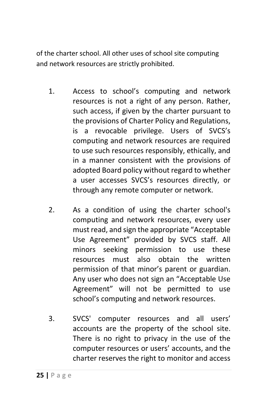of the charter school. All other uses of school site computing and network resources are strictly prohibited.

- 1. Access to school's computing and network resources is not a right of any person. Rather, such access, if given by the charter pursuant to the provisions of Charter Policy and Regulations, is a revocable privilege. Users of SVCS's computing and network resources are required to use such resources responsibly, ethically, and in a manner consistent with the provisions of adopted Board policy without regard to whether a user accesses SVCS's resources directly, or through any remote computer or network.
- 2. As a condition of using the charter school's computing and network resources, every user must read, and sign the appropriate "Acceptable Use Agreement" provided by SVCS staff. All minors seeking permission to use these resources must also obtain the written permission of that minor's parent or guardian. Any user who does not sign an "Acceptable Use Agreement" will not be permitted to use school's computing and network resources.
- 3. SVCS' computer resources and all users' accounts are the property of the school site. There is no right to privacy in the use of the computer resources or users' accounts, and the charter reserves the right to monitor and access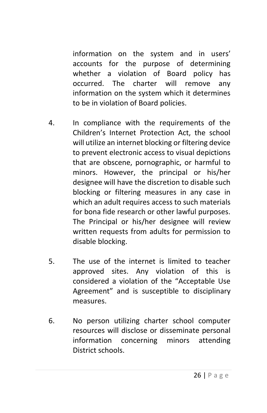information on the system and in users' accounts for the purpose of determining whether a violation of Board policy has occurred. The charter will remove any information on the system which it determines to be in violation of Board policies.

- 4. In compliance with the requirements of the Children's Internet Protection Act, the school will utilize an internet blocking or filtering device to prevent electronic access to visual depictions that are obscene, pornographic, or harmful to minors. However, the principal or his/her designee will have the discretion to disable such blocking or filtering measures in any case in which an adult requires access to such materials for bona fide research or other lawful purposes. The Principal or his/her designee will review written requests from adults for permission to disable blocking.
- 5. The use of the internet is limited to teacher approved sites. Any violation of this is considered a violation of the "Acceptable Use Agreement" and is susceptible to disciplinary measures.
- 6. No person utilizing charter school computer resources will disclose or disseminate personal information concerning minors attending District schools.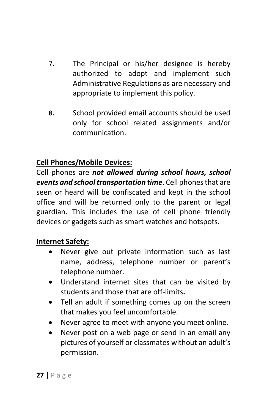- 7. The Principal or his/her designee is hereby authorized to adopt and implement such Administrative Regulations as are necessary and appropriate to implement this policy.
- **8.** School provided email accounts should be used only for school related assignments and/or communication.

### **Cell Phones/Mobile Devices:**

Cell phones are *not allowed during school hours, school events and school transportation time*. Cell phones that are seen or heard will be confiscated and kept in the school office and will be returned only to the parent or legal guardian. This includes the use of cell phone friendly devices or gadgets such as smart watches and hotspots.

#### **Internet Safety:**

- Never give out private information such as last name, address, telephone number or parent's telephone number.
- Understand internet sites that can be visited by students and those that are off-limits**.**
- Tell an adult if something comes up on the screen that makes you feel uncomfortable.
- Never agree to meet with anyone you meet online.
- Never post on a web page or send in an email any pictures of yourself or classmates without an adult's permission.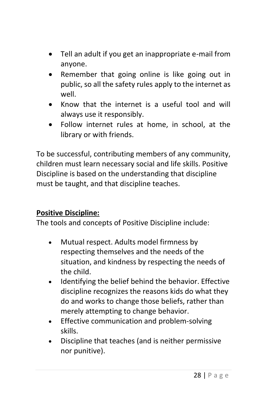- Tell an adult if you get an inappropriate e-mail from anyone.
- Remember that going online is like going out in public, so all the safety rules apply to the internet as well.
- Know that the internet is a useful tool and will always use it responsibly.
- Follow internet rules at home, in school, at the library or with friends.

To be successful, contributing members of any community, children must learn necessary social and life skills. Positive Discipline is based on the understanding that discipline must be taught, and that discipline teaches.

### **Positive Discipline:**

The tools and concepts of Positive Discipline include:

- Mutual respect. Adults model firmness by respecting themselves and the needs of the situation, and kindness by respecting the needs of the child.
- Identifying the belief behind the behavior. Effective discipline recognizes the reasons kids do what they do and works to change those beliefs, rather than merely attempting to change behavior.
- Effective communication and problem-solving skills.
- Discipline that teaches (and is neither permissive nor punitive).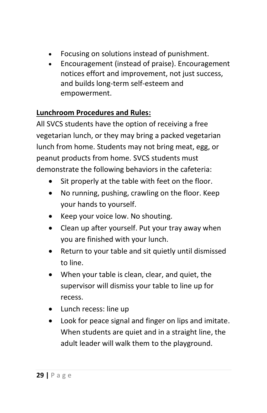- Focusing on solutions instead of punishment.
- Encouragement (instead of praise). Encouragement notices effort and improvement, not just success, and builds long-term self-esteem and empowerment.

### **Lunchroom Procedures and Rules:**

All SVCS students have the option of receiving a free vegetarian lunch, or they may bring a packed vegetarian lunch from home. Students may not bring meat, egg, or peanut products from home. SVCS students must demonstrate the following behaviors in the cafeteria:

- Sit properly at the table with feet on the floor.
- No running, pushing, crawling on the floor. Keep your hands to yourself.
- Keep your voice low. No shouting.
- Clean up after yourself. Put your tray away when you are finished with your lunch.
- Return to your table and sit quietly until dismissed to line.
- When your table is clean, clear, and quiet, the supervisor will dismiss your table to line up for recess.
- Lunch recess: line up
- Look for peace signal and finger on lips and imitate. When students are quiet and in a straight line, the adult leader will walk them to the playground.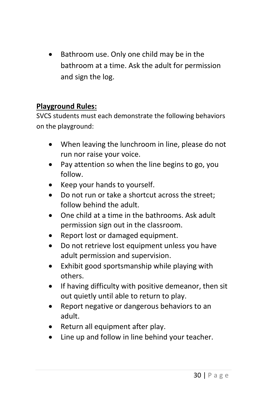• Bathroom use. Only one child may be in the bathroom at a time. Ask the adult for permission and sign the log.

### **Playground Rules:**

SVCS students must each demonstrate the following behaviors on the playground:

- When leaving the lunchroom in line, please do not run nor raise your voice.
- Pay attention so when the line begins to go, you follow.
- Keep your hands to yourself.
- Do not run or take a shortcut across the street; follow behind the adult.
- One child at a time in the bathrooms. Ask adult permission sign out in the classroom.
- Report lost or damaged equipment.
- Do not retrieve lost equipment unless you have adult permission and supervision.
- Exhibit good sportsmanship while playing with others.
- If having difficulty with positive demeanor, then sit out quietly until able to return to play.
- Report negative or dangerous behaviors to an adult.
- Return all equipment after play.
- Line up and follow in line behind your teacher.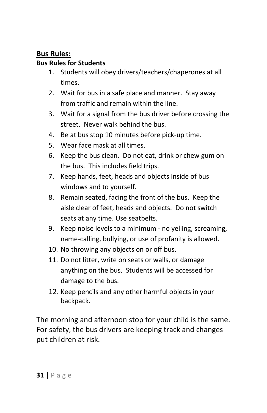#### **Bus Rules:**

#### **Bus Rules for Students**

- 1. Students will obey drivers/teachers/chaperones at all times.
- 2. Wait for bus in a safe place and manner. Stay away from traffic and remain within the line.
- 3. Wait for a signal from the bus driver before crossing the street. Never walk behind the bus.
- 4. Be at bus stop 10 minutes before pick-up time.
- 5. Wear face mask at all times.
- 6. Keep the bus clean. Do not eat, drink or chew gum on the bus. This includes field trips.
- 7. Keep hands, feet, heads and objects inside of bus windows and to yourself.
- 8. Remain seated, facing the front of the bus. Keep the aisle clear of feet, heads and objects. Do not switch seats at any time. Use seatbelts.
- 9. Keep noise levels to a minimum no yelling, screaming, name-calling, bullying, or use of profanity is allowed.
- 10. No throwing any objects on or off bus.
- 11. Do not litter, write on seats or walls, or damage anything on the bus. Students will be accessed for damage to the bus.
- 12. Keep pencils and any other harmful objects in your backpack.

The morning and afternoon stop for your child is the same. For safety, the bus drivers are keeping track and changes put children at risk.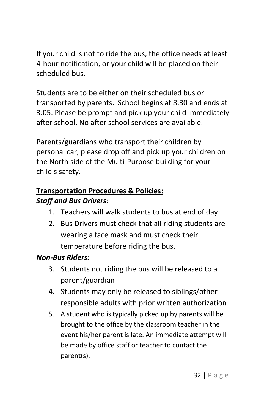If your child is not to ride the bus, the office needs at least 4-hour notification, or your child will be placed on their scheduled bus.

Students are to be either on their scheduled bus or transported by parents. School begins at 8:30 and ends at 3:05. Please be prompt and pick up your child immediately after school. No after school services are available.

Parents/guardians who transport their children by personal car, please drop off and pick up your children on the North side of the Multi-Purpose building for your child's safety.

## **Transportation Procedures & Policies:** *Staff and Bus Drivers:*

- 1. Teachers will walk students to bus at end of day.
- 2. Bus Drivers must check that all riding students are wearing a face mask and must check their temperature before riding the bus.

### *Non-Bus Riders:*

- 3. Students not riding the bus will be released to a parent/guardian
- 4. Students may only be released to siblings/other responsible adults with prior written authorization
- 5. A student who is typically picked up by parents will be brought to the office by the classroom teacher in the event his/her parent is late. An immediate attempt will be made by office staff or teacher to contact the parent(s).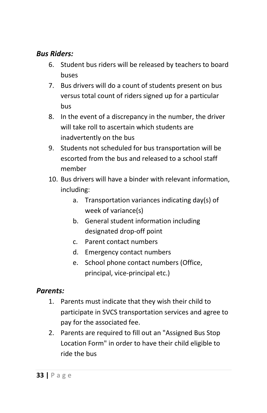#### *Bus Riders:*

- 6. Student bus riders will be released by teachers to board buses
- 7. Bus drivers will do a count of students present on bus versus total count of riders signed up for a particular bus
- 8. In the event of a discrepancy in the number, the driver will take roll to ascertain which students are inadvertently on the bus
- 9. Students not scheduled for bus transportation will be escorted from the bus and released to a school staff member
- 10. Bus drivers will have a binder with relevant information, including:
	- a. Transportation variances indicating day(s) of week of variance(s)
	- b. General student information including designated drop-off point
	- c. Parent contact numbers
	- d. Emergency contact numbers
	- e. School phone contact numbers (Office, principal, vice-principal etc.)

#### *Parents:*

- 1. Parents must indicate that they wish their child to participate in SVCS transportation services and agree to pay for the associated fee.
- 2. Parents are required to fill out an "Assigned Bus Stop Location Form" in order to have their child eligible to ride the bus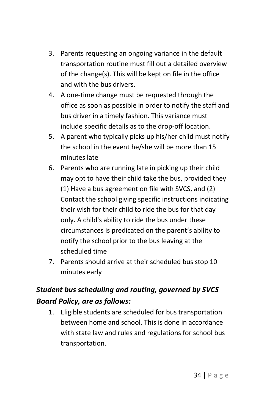- 3. Parents requesting an ongoing variance in the default transportation routine must fill out a detailed overview of the change(s). This will be kept on file in the office and with the bus drivers.
- 4. A one-time change must be requested through the office as soon as possible in order to notify the staff and bus driver in a timely fashion. This variance must include specific details as to the drop-off location.
- 5. A parent who typically picks up his/her child must notify the school in the event he/she will be more than 15 minutes late
- 6. Parents who are running late in picking up their child may opt to have their child take the bus, provided they (1) Have a bus agreement on file with SVCS, and (2) Contact the school giving specific instructions indicating their wish for their child to ride the bus for that day only. A child's ability to ride the bus under these circumstances is predicated on the parent's ability to notify the school prior to the bus leaving at the scheduled time
- 7. Parents should arrive at their scheduled bus stop 10 minutes early

## *Student bus scheduling and routing, governed by SVCS Board Policy, are as follows:*

1. Eligible students are scheduled for bus transportation between home and school. This is done in accordance with state law and rules and regulations for school bus transportation.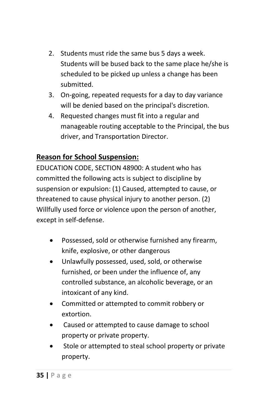- 2. Students must ride the same bus 5 days a week. Students will be bused back to the same place he/she is scheduled to be picked up unless a change has been submitted.
- 3. On-going, repeated requests for a day to day variance will be denied based on the principal's discretion.
- 4. Requested changes must fit into a regular and manageable routing acceptable to the Principal, the bus driver, and Transportation Director.

### **Reason for School Suspension:**

EDUCATION CODE, SECTION 48900: A student who has committed the following acts is subject to discipline by suspension or expulsion: (1) Caused, attempted to cause, or threatened to cause physical injury to another person. (2) Willfully used force or violence upon the person of another, except in self-defense.

- Possessed, sold or otherwise furnished any firearm, knife, explosive, or other dangerous
- Unlawfully possessed, used, sold, or otherwise furnished, or been under the influence of, any controlled substance, an alcoholic beverage, or an intoxicant of any kind.
- Committed or attempted to commit robbery or extortion.
- Caused or attempted to cause damage to school property or private property.
- Stole or attempted to steal school property or private property.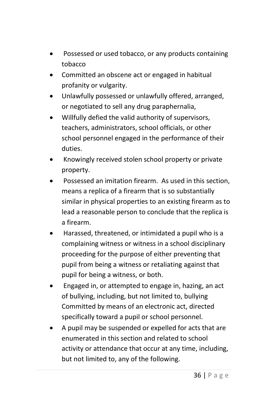- Possessed or used tobacco, or any products containing tobacco
- Committed an obscene act or engaged in habitual profanity or vulgarity.
- Unlawfully possessed or unlawfully offered, arranged, or negotiated to sell any drug paraphernalia,
- Willfully defied the valid authority of supervisors, teachers, administrators, school officials, or other school personnel engaged in the performance of their duties.
- Knowingly received stolen school property or private property.
- Possessed an imitation firearm. As used in this section, means a replica of a firearm that is so substantially similar in physical properties to an existing firearm as to lead a reasonable person to conclude that the replica is a firearm.
- Harassed, threatened, or intimidated a pupil who is a complaining witness or witness in a school disciplinary proceeding for the purpose of either preventing that pupil from being a witness or retaliating against that pupil for being a witness, or both.
- Engaged in, or attempted to engage in, hazing, an act of bullying, including, but not limited to, bullying Committed by means of an electronic act, directed specifically toward a pupil or school personnel.
- A pupil may be suspended or expelled for acts that are enumerated in this section and related to school activity or attendance that occur at any time, including, but not limited to, any of the following.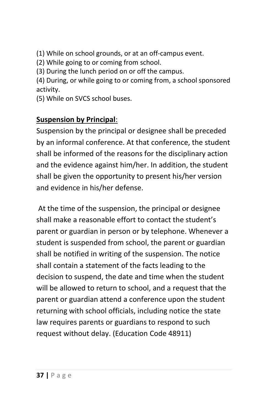(1) While on school grounds, or at an off-campus event.

(2) While going to or coming from school.

(3) During the lunch period on or off the campus.

(4) During, or while going to or coming from, a school sponsored activity.

(5) While on SVCS school buses.

### **Suspension by Principal**:

Suspension by the principal or designee shall be preceded by an informal conference. At that conference, the student shall be informed of the reasons for the disciplinary action and the evidence against him/her. In addition, the student shall be given the opportunity to present his/her version and evidence in his/her defense.

At the time of the suspension, the principal or designee shall make a reasonable effort to contact the student's parent or guardian in person or by telephone. Whenever a student is suspended from school, the parent or guardian shall be notified in writing of the suspension. The notice shall contain a statement of the facts leading to the decision to suspend, the date and time when the student will be allowed to return to school, and a request that the parent or guardian attend a conference upon the student returning with school officials, including notice the state law requires parents or guardians to respond to such request without delay. (Education Code 48911)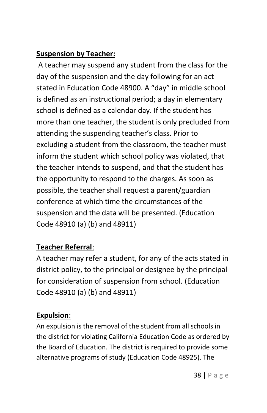### **Suspension by Teacher:**

A teacher may suspend any student from the class for the day of the suspension and the day following for an act stated in Education Code 48900. A "day" in middle school is defined as an instructional period; a day in elementary school is defined as a calendar day. If the student has more than one teacher, the student is only precluded from attending the suspending teacher's class. Prior to excluding a student from the classroom, the teacher must inform the student which school policy was violated, that the teacher intends to suspend, and that the student has the opportunity to respond to the charges. As soon as possible, the teacher shall request a parent/guardian conference at which time the circumstances of the suspension and the data will be presented. (Education Code 48910 (a) (b) and 48911)

### **Teacher Referral**:

A teacher may refer a student, for any of the acts stated in district policy, to the principal or designee by the principal for consideration of suspension from school. (Education Code 48910 (a) (b) and 48911)

### **Expulsion**:

An expulsion is the removal of the student from all schools in the district for violating California Education Code as ordered by the Board of Education. The district is required to provide some alternative programs of study (Education Code 48925). The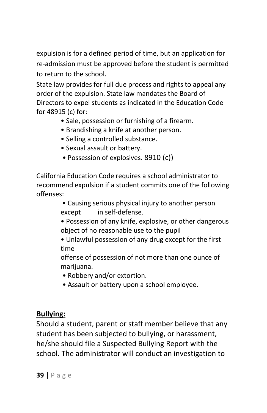expulsion is for a defined period of time, but an application for re-admission must be approved before the student is permitted to return to the school.

State law provides for full due process and rights to appeal any order of the expulsion. State law mandates the Board of Directors to expel students as indicated in the Education Code for 48915 (c) for:

- Sale, possession or furnishing of a firearm.
- Brandishing a knife at another person.
- Selling a controlled substance.
- Sexual assault or battery.
- Possession of explosives. 8910 (c))

California Education Code requires a school administrator to recommend expulsion if a student commits one of the following offenses:

- Causing serious physical injury to another person except in self-defense.
- Possession of any knife, explosive, or other dangerous object of no reasonable use to the pupil
- Unlawful possession of any drug except for the first time

offense of possession of not more than one ounce of marijuana.

- Robbery and/or extortion.
- Assault or battery upon a school employee.

### **Bullying:**

Should a student, parent or staff member believe that any student has been subjected to bullying, or harassment, he/she should file a Suspected Bullying Report with the school. The administrator will conduct an investigation to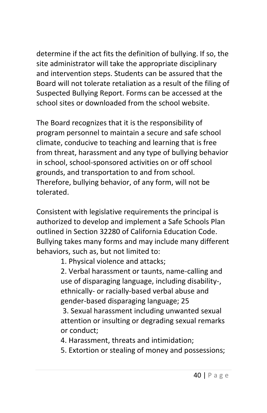determine if the act fits the definition of bullying. If so, the site administrator will take the appropriate disciplinary and intervention steps. Students can be assured that the Board will not tolerate retaliation as a result of the filing of Suspected Bullying Report. Forms can be accessed at the school sites or downloaded from the school website.

The Board recognizes that it is the responsibility of program personnel to maintain a secure and safe school climate, conducive to teaching and learning that is free from threat, harassment and any type of bullying behavior in school, school-sponsored activities on or off school grounds, and transportation to and from school. Therefore, bullying behavior, of any form, will not be tolerated.

Consistent with legislative requirements the principal is authorized to develop and implement a Safe Schools Plan outlined in Section 32280 of California Education Code. Bullying takes many forms and may include many different behaviors, such as, but not limited to:

1. Physical violence and attacks;

2. Verbal harassment or taunts, name-calling and use of disparaging language, including disability-, ethnically- or racially-based verbal abuse and gender-based disparaging language; 25

3. Sexual harassment including unwanted sexual attention or insulting or degrading sexual remarks or conduct;

- 4. Harassment, threats and intimidation;
- 5. Extortion or stealing of money and possessions;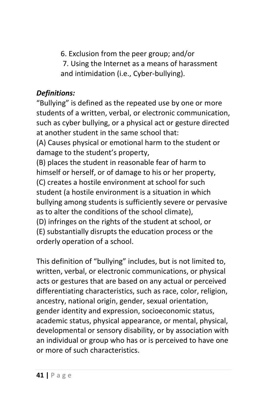6. Exclusion from the peer group; and/or 7. Using the Internet as a means of harassment and intimidation (i.e., Cyber-bullying).

### *Definitions:*

"Bullying" is defined as the repeated use by one or more students of a written, verbal, or electronic communication, such as cyber bullying, or a physical act or gesture directed at another student in the same school that:

(A) Causes physical or emotional harm to the student or damage to the student's property,

(B) places the student in reasonable fear of harm to himself or herself, or of damage to his or her property, (C) creates a hostile environment at school for such student (a hostile environment is a situation in which bullying among students is sufficiently severe or pervasive as to alter the conditions of the school climate), (D) infringes on the rights of the student at school, or (E) substantially disrupts the education process or the orderly operation of a school.

This definition of "bullying" includes, but is not limited to, written, verbal, or electronic communications, or physical acts or gestures that are based on any actual or perceived differentiating characteristics, such as race, color, religion, ancestry, national origin, gender, sexual orientation, gender identity and expression, socioeconomic status, academic status, physical appearance, or mental, physical, developmental or sensory disability, or by association with an individual or group who has or is perceived to have one or more of such characteristics.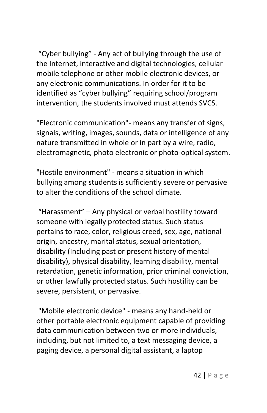"Cyber bullying" - Any act of bullying through the use of the Internet, interactive and digital technologies, cellular mobile telephone or other mobile electronic devices, or any electronic communications. In order for it to be identified as "cyber bullying" requiring school/program intervention, the students involved must attends SVCS.

"Electronic communication"- means any transfer of signs, signals, writing, images, sounds, data or intelligence of any nature transmitted in whole or in part by a wire, radio, electromagnetic, photo electronic or photo-optical system.

"Hostile environment" - means a situation in which bullying among students is sufficiently severe or pervasive to alter the conditions of the school climate.

"Harassment" – Any physical or verbal hostility toward someone with legally protected status. Such status pertains to race, color, religious creed, sex, age, national origin, ancestry, marital status, sexual orientation, disability (Including past or present history of mental disability), physical disability, learning disability, mental retardation, genetic information, prior criminal conviction, or other lawfully protected status. Such hostility can be severe, persistent, or pervasive.

"Mobile electronic device" - means any hand-held or other portable electronic equipment capable of providing data communication between two or more individuals, including, but not limited to, a text messaging device, a paging device, a personal digital assistant, a laptop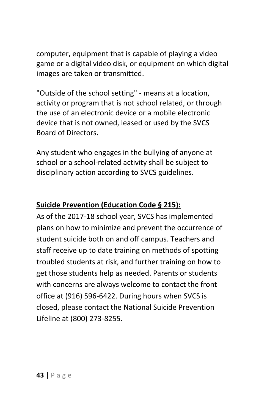computer, equipment that is capable of playing a video game or a digital video disk, or equipment on which digital images are taken or transmitted.

"Outside of the school setting" - means at a location, activity or program that is not school related, or through the use of an electronic device or a mobile electronic device that is not owned, leased or used by the SVCS Board of Directors.

Any student who engages in the bullying of anyone at school or a school-related activity shall be subject to disciplinary action according to SVCS guidelines.

### **Suicide Prevention (Education Code § 215):**

As of the 2017-18 school year, SVCS has implemented plans on how to minimize and prevent the occurrence of student suicide both on and off campus. Teachers and staff receive up to date training on methods of spotting troubled students at risk, and further training on how to get those students help as needed. Parents or students with concerns are always welcome to contact the front office at (916) 596-6422. During hours when SVCS is closed, please contact the National Suicide Prevention Lifeline at (800) 273-8255.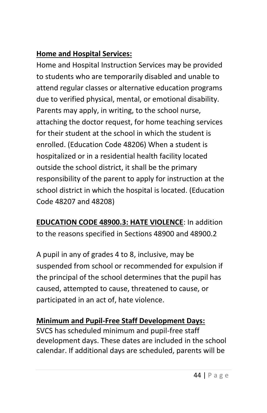### **Home and Hospital Services:**

Home and Hospital Instruction Services may be provided to students who are temporarily disabled and unable to attend regular classes or alternative education programs due to verified physical, mental, or emotional disability. Parents may apply, in writing, to the school nurse, attaching the doctor request, for home teaching services for their student at the school in which the student is enrolled. (Education Code 48206) When a student is hospitalized or in a residential health facility located outside the school district, it shall be the primary responsibility of the parent to apply for instruction at the school district in which the hospital is located. (Education Code 48207 and 48208)

**EDUCATION CODE 48900.3: HATE VIOLENCE**: In addition to the reasons specified in Sections 48900 and 48900.2

A pupil in any of grades 4 to 8, inclusive, may be suspended from school or recommended for expulsion if the principal of the school determines that the pupil has caused, attempted to cause, threatened to cause, or participated in an act of, hate violence.

### **Minimum and Pupil-Free Staff Development Days:**

SVCS has scheduled minimum and pupil-free staff development days. These dates are included in the school calendar. If additional days are scheduled, parents will be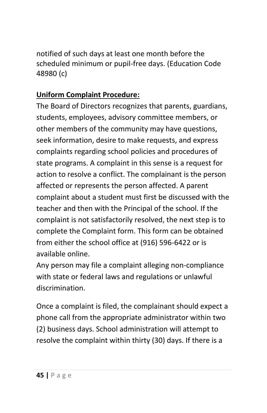notified of such days at least one month before the scheduled minimum or pupil-free days. (Education Code 48980 (c)

### **Uniform Complaint Procedure:**

The Board of Directors recognizes that parents, guardians, students, employees, advisory committee members, or other members of the community may have questions, seek information, desire to make requests, and express complaints regarding school policies and procedures of state programs. A complaint in this sense is a request for action to resolve a conflict. The complainant is the person affected or represents the person affected. A parent complaint about a student must first be discussed with the teacher and then with the Principal of the school. If the complaint is not satisfactorily resolved, the next step is to complete the Complaint form. This form can be obtained from either the school office at (916) 596-6422 or is available online.

Any person may file a complaint alleging non-compliance with state or federal laws and regulations or unlawful discrimination.

Once a complaint is filed, the complainant should expect a phone call from the appropriate administrator within two (2) business days. School administration will attempt to resolve the complaint within thirty (30) days. If there is a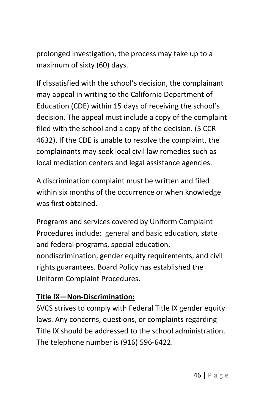prolonged investigation, the process may take up to a maximum of sixty (60) days.

If dissatisfied with the school's decision, the complainant may appeal in writing to the California Department of Education (CDE) within 15 days of receiving the school's decision. The appeal must include a copy of the complaint filed with the school and a copy of the decision. (5 CCR 4632). If the CDE is unable to resolve the complaint, the complainants may seek local civil law remedies such as local mediation centers and legal assistance agencies.

A discrimination complaint must be written and filed within six months of the occurrence or when knowledge was first obtained.

Programs and services covered by Uniform Complaint Procedures include: general and basic education, state and federal programs, special education, nondiscrimination, gender equity requirements, and civil rights guarantees. Board Policy has established the Uniform Complaint Procedures.

### **Title IX—Non-Discrimination:**

SVCS strives to comply with Federal Title IX gender equity laws. Any concerns, questions, or complaints regarding Title IX should be addressed to the school administration. The telephone number is (916) 596-6422.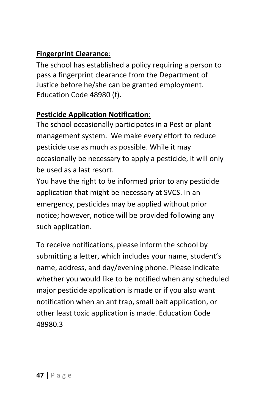### **Fingerprint Clearance**:

The school has established a policy requiring a person to pass a fingerprint clearance from the Department of Justice before he/she can be granted employment. Education Code 48980 (f).

### **Pesticide Application Notification**:

The school occasionally participates in a Pest or plant management system. We make every effort to reduce pesticide use as much as possible. While it may occasionally be necessary to apply a pesticide, it will only be used as a last resort.

You have the right to be informed prior to any pesticide application that might be necessary at SVCS. In an emergency, pesticides may be applied without prior notice; however, notice will be provided following any such application.

To receive notifications, please inform the school by submitting a letter, which includes your name, student's name, address, and day/evening phone. Please indicate whether you would like to be notified when any scheduled major pesticide application is made or if you also want notification when an ant trap, small bait application, or other least toxic application is made. Education Code 48980.3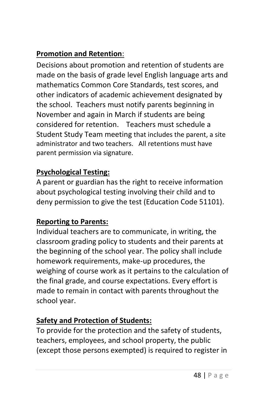## **Promotion and Retention**:

Decisions about promotion and retention of students are made on the basis of grade level English language arts and mathematics Common Core Standards, test scores, and other indicators of academic achievement designated by the school. Teachers must notify parents beginning in November and again in March if students are being considered for retention. Teachers must schedule a Student Study Team meeting that includes the parent, a site administrator and two teachers. All retentions must have parent permission via signature.

### **Psychological Testing:**

A parent or guardian has the right to receive information about psychological testing involving their child and to deny permission to give the test (Education Code 51101).

### **Reporting to Parents:**

Individual teachers are to communicate, in writing, the classroom grading policy to students and their parents at the beginning of the school year. The policy shall include homework requirements, make-up procedures, the weighing of course work as it pertains to the calculation of the final grade, and course expectations. Every effort is made to remain in contact with parents throughout the school year.

# **Safety and Protection of Students:**

To provide for the protection and the safety of students, teachers, employees, and school property, the public (except those persons exempted) is required to register in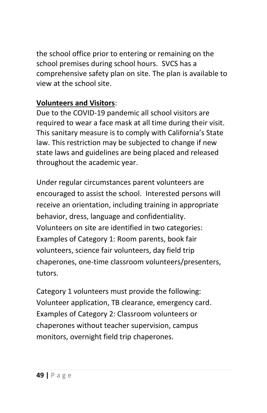the school office prior to entering or remaining on the school premises during school hours. SVCS has a comprehensive safety plan on site. The plan is available to view at the school site.

### **Volunteers and Visitors**:

Due to the COVID-19 pandemic all school visitors are required to wear a face mask at all time during their visit. This sanitary measure is to comply with California's State law. This restriction may be subjected to change if new state laws and guidelines are being placed and released throughout the academic year.

Under regular circumstances parent volunteers are encouraged to assist the school. Interested persons will receive an orientation, including training in appropriate behavior, dress, language and confidentiality. Volunteers on site are identified in two categories: Examples of Category 1: Room parents, book fair volunteers, science fair volunteers, day field trip chaperones, one-time classroom volunteers/presenters, tutors.

Category 1 volunteers must provide the following: Volunteer application, TB clearance, emergency card. Examples of Category 2: Classroom volunteers or chaperones without teacher supervision, campus monitors, overnight field trip chaperones.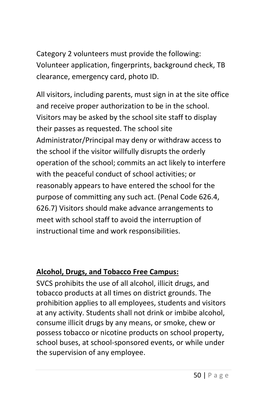Category 2 volunteers must provide the following: Volunteer application, fingerprints, background check, TB clearance, emergency card, photo ID.

All visitors, including parents, must sign in at the site office and receive proper authorization to be in the school. Visitors may be asked by the school site staff to display their passes as requested. The school site Administrator/Principal may deny or withdraw access to the school if the visitor willfully disrupts the orderly operation of the school; commits an act likely to interfere with the peaceful conduct of school activities; or reasonably appears to have entered the school for the purpose of committing any such act. (Penal Code 626.4, 626.7) Visitors should make advance arrangements to meet with school staff to avoid the interruption of instructional time and work responsibilities.

#### **Alcohol, Drugs, and Tobacco Free Campus:**

SVCS prohibits the use of all alcohol, illicit drugs, and tobacco products at all times on district grounds. The prohibition applies to all employees, students and visitors at any activity. Students shall not drink or imbibe alcohol, consume illicit drugs by any means, or smoke, chew or possess tobacco or nicotine products on school property, school buses, at school-sponsored events, or while under the supervision of any employee.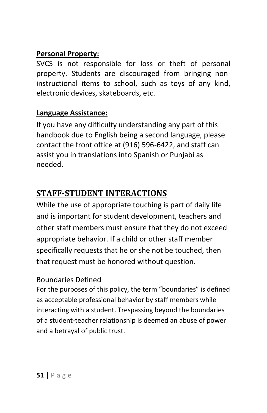#### **Personal Property:**

SVCS is not responsible for loss or theft of personal property. Students are discouraged from bringing noninstructional items to school, such as toys of any kind, electronic devices, skateboards, etc.

### **Language Assistance:**

If you have any difficulty understanding any part of this handbook due to English being a second language, please contact the front office at (916) 596-6422, and staff can assist you in translations into Spanish or Punjabi as needed.

# **STAFF-STUDENT INTERACTIONS**

While the use of appropriate touching is part of daily life and is important for student development, teachers and other staff members must ensure that they do not exceed appropriate behavior. If a child or other staff member specifically requests that he or she not be touched, then that request must be honored without question.

#### Boundaries Defined

For the purposes of this policy, the term "boundaries" is defined as acceptable professional behavior by staff members while interacting with a student. Trespassing beyond the boundaries of a student-teacher relationship is deemed an abuse of power and a betrayal of public trust.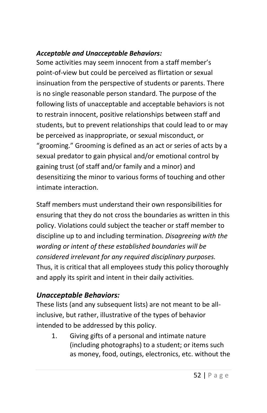#### *Acceptable and Unacceptable Behaviors:*

Some activities may seem innocent from a staff member's point-of-view but could be perceived as flirtation or sexual insinuation from the perspective of students or parents. There is no single reasonable person standard. The purpose of the following lists of unacceptable and acceptable behaviors is not to restrain innocent, positive relationships between staff and students, but to prevent relationships that could lead to or may be perceived as inappropriate, or sexual misconduct, or "grooming." Grooming is defined as an act or series of acts by a sexual predator to gain physical and/or emotional control by gaining trust (of staff and/or family and a minor) and desensitizing the minor to various forms of touching and other intimate interaction.

Staff members must understand their own responsibilities for ensuring that they do not cross the boundaries as written in this policy. Violations could subject the teacher or staff member to discipline up to and including termination. *Disagreeing with the wording or intent of these established boundaries will be considered irrelevant for any required disciplinary purposes.* Thus, it is critical that all employees study this policy thoroughly and apply its spirit and intent in their daily activities.

### *Unacceptable Behaviors:*

These lists (and any subsequent lists) are not meant to be allinclusive, but rather, illustrative of the types of behavior intended to be addressed by this policy.

1. Giving gifts of a personal and intimate nature (including photographs) to a student; or items such as money, food, outings, electronics, etc. without the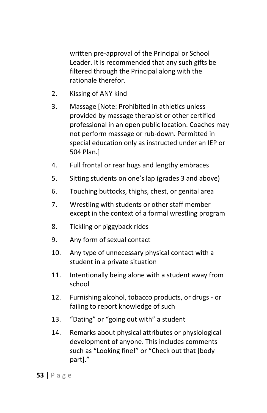written pre-approval of the Principal or School Leader. It is recommended that any such gifts be filtered through the Principal along with the rationale therefor.

- 2. Kissing of ANY kind
- 3. Massage [Note: Prohibited in athletics unless provided by massage therapist or other certified professional in an open public location. Coaches may not perform massage or rub-down. Permitted in special education only as instructed under an IEP or 504 Plan.]
- 4. Full frontal or rear hugs and lengthy embraces
- 5. Sitting students on one's lap (grades 3 and above)
- 6. Touching buttocks, thighs, chest, or genital area
- 7. Wrestling with students or other staff member except in the context of a formal wrestling program
- 8. Tickling or piggyback rides
- 9. Any form of sexual contact
- 10. Any type of unnecessary physical contact with a student in a private situation
- 11. Intentionally being alone with a student away from school
- 12. Furnishing alcohol, tobacco products, or drugs or failing to report knowledge of such
- 13. "Dating" or "going out with" a student
- 14. Remarks about physical attributes or physiological development of anyone. This includes comments such as "Looking fine!" or "Check out that [body part]."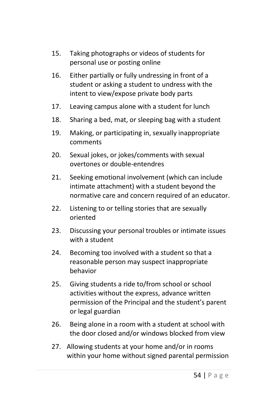- 15. Taking photographs or videos of students for personal use or posting online
- 16. Either partially or fully undressing in front of a student or asking a student to undress with the intent to view/expose private body parts
- 17. Leaving campus alone with a student for lunch
- 18. Sharing a bed, mat, or sleeping bag with a student
- 19. Making, or participating in, sexually inappropriate comments
- 20. Sexual jokes, or jokes/comments with sexual overtones or double-entendres
- 21. Seeking emotional involvement (which can include intimate attachment) with a student beyond the normative care and concern required of an educator.
- 22. Listening to or telling stories that are sexually oriented
- 23. Discussing your personal troubles or intimate issues with a student
- 24. Becoming too involved with a student so that a reasonable person may suspect inappropriate behavior
- 25. Giving students a ride to/from school or school activities without the express, advance written permission of the Principal and the student's parent or legal guardian
- 26. Being alone in a room with a student at school with the door closed and/or windows blocked from view
- 27. Allowing students at your home and/or in rooms within your home without signed parental permission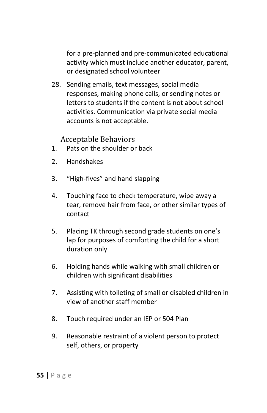for a pre-planned and pre-communicated educational activity which must include another educator, parent, or designated school volunteer

28. Sending emails, text messages, social media responses, making phone calls, or sending notes or letters to students if the content is not about school activities. Communication via private social media accounts is not acceptable.

Acceptable Behaviors

- 1. Pats on the shoulder or back
- 2. Handshakes
- 3. "High-fives" and hand slapping
- 4. Touching face to check temperature, wipe away a tear, remove hair from face, or other similar types of contact
- 5. Placing TK through second grade students on one's lap for purposes of comforting the child for a short duration only
- 6. Holding hands while walking with small children or children with significant disabilities
- 7. Assisting with toileting of small or disabled children in view of another staff member
- 8. Touch required under an IEP or 504 Plan
- 9. Reasonable restraint of a violent person to protect self, others, or property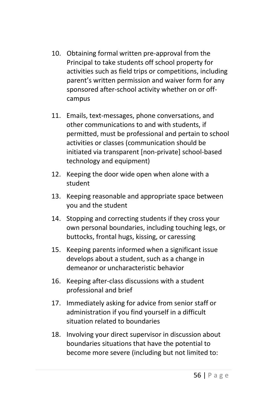- 10. Obtaining formal written pre-approval from the Principal to take students off school property for activities such as field trips or competitions, including parent's written permission and waiver form for any sponsored after-school activity whether on or offcampus
- 11. Emails, text-messages, phone conversations, and other communications to and with students, if permitted, must be professional and pertain to school activities or classes (communication should be initiated via transparent [non-private] school-based technology and equipment)
- 12. Keeping the door wide open when alone with a student
- 13. Keeping reasonable and appropriate space between you and the student
- 14. Stopping and correcting students if they cross your own personal boundaries, including touching legs, or buttocks, frontal hugs, kissing, or caressing
- 15. Keeping parents informed when a significant issue develops about a student, such as a change in demeanor or uncharacteristic behavior
- 16. Keeping after-class discussions with a student professional and brief
- 17. Immediately asking for advice from senior staff or administration if you find yourself in a difficult situation related to boundaries
- 18. Involving your direct supervisor in discussion about boundaries situations that have the potential to become more severe (including but not limited to: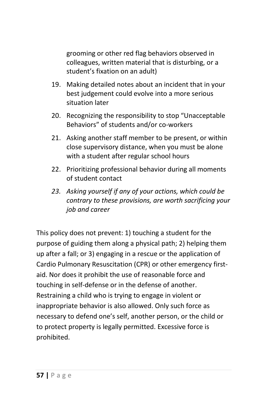grooming or other red flag behaviors observed in colleagues, written material that is disturbing, or a student's fixation on an adult)

- 19. Making detailed notes about an incident that in your best judgement could evolve into a more serious situation later
- 20. Recognizing the responsibility to stop "Unacceptable Behaviors" of students and/or co-workers
- 21. Asking another staff member to be present, or within close supervisory distance, when you must be alone with a student after regular school hours
- 22. Prioritizing professional behavior during all moments of student contact
- *23. Asking yourself if any of your actions, which could be contrary to these provisions, are worth sacrificing your job and career*

This policy does not prevent: 1) touching a student for the purpose of guiding them along a physical path; 2) helping them up after a fall; or 3) engaging in a rescue or the application of Cardio Pulmonary Resuscitation (CPR) or other emergency firstaid. Nor does it prohibit the use of reasonable force and touching in self-defense or in the defense of another. Restraining a child who is trying to engage in violent or inappropriate behavior is also allowed. Only such force as necessary to defend one's self, another person, or the child or to protect property is legally permitted. Excessive force is prohibited.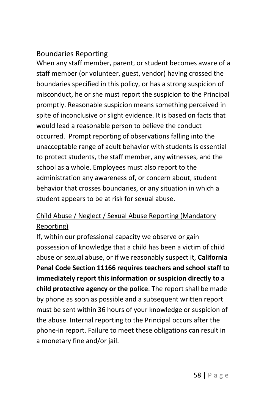#### Boundaries Reporting

When any staff member, parent, or student becomes aware of a staff member (or volunteer, guest, vendor) having crossed the boundaries specified in this policy, or has a strong suspicion of misconduct, he or she must report the suspicion to the Principal promptly. Reasonable suspicion means something perceived in spite of inconclusive or slight evidence. It is based on facts that would lead a reasonable person to believe the conduct occurred. Prompt reporting of observations falling into the unacceptable range of adult behavior with students is essential to protect students, the staff member, any witnesses, and the school as a whole. Employees must also report to the administration any awareness of, or concern about, student behavior that crosses boundaries, or any situation in which a student appears to be at risk for sexual abuse.

### Child Abuse / Neglect / Sexual Abuse Reporting (Mandatory Reporting)

If, within our professional capacity we observe or gain possession of knowledge that a child has been a victim of child abuse or sexual abuse, or if we reasonably suspect it, **California Penal Code Section 11166 requires teachers and school staff to immediately report this information or suspicion directly to a child protective agency or the police**. The report shall be made by phone as soon as possible and a subsequent written report must be sent within 36 hours of your knowledge or suspicion of the abuse. Internal reporting to the Principal occurs after the phone-in report. Failure to meet these obligations can result in a monetary fine and/or jail.